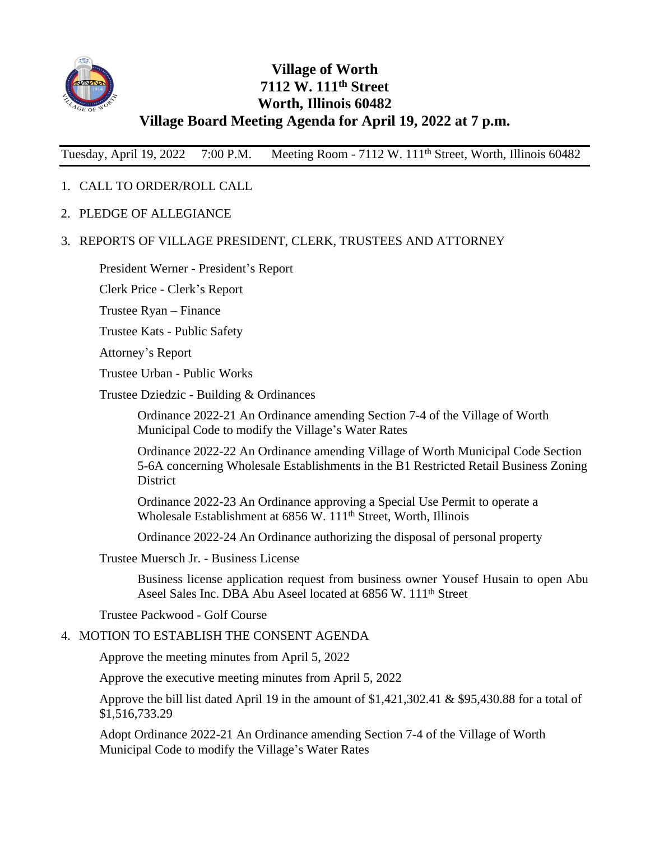

## **Village of Worth 7112 W. 111th Street Worth, Illinois 60482 Village Board Meeting Agenda for April 19, 2022 at 7 p.m.**

Tuesday, April 19, 2022 7:00 P.M. Meeting Room - 7112 W. 111th Street, Worth, Illinois 60482

## 1. CALL TO ORDER/ROLL CALL

2. PLEDGE OF ALLEGIANCE

## 3. REPORTS OF VILLAGE PRESIDENT, CLERK, TRUSTEES AND ATTORNEY

President Werner - President's Report

Clerk Price - Clerk's Report

Trustee Ryan – Finance

Trustee Kats - Public Safety

Attorney's Report

Trustee Urban - Public Works

Trustee Dziedzic - Building & Ordinances

Ordinance 2022-21 An Ordinance amending Section 7-4 of the Village of Worth Municipal Code to modify the Village's Water Rates

Ordinance 2022-22 An Ordinance amending Village of Worth Municipal Code Section 5-6A concerning Wholesale Establishments in the B1 Restricted Retail Business Zoning District

Ordinance 2022-23 An Ordinance approving a Special Use Permit to operate a Wholesale Establishment at 6856 W. 111<sup>th</sup> Street, Worth, Illinois

Ordinance 2022-24 An Ordinance authorizing the disposal of personal property

Trustee Muersch Jr. - Business License

Business license application request from business owner Yousef Husain to open Abu Aseel Sales Inc. DBA Abu Aseel located at 6856 W. 111th Street

Trustee Packwood - Golf Course

## 4. MOTION TO ESTABLISH THE CONSENT AGENDA

Approve the meeting minutes from April 5, 2022

Approve the executive meeting minutes from April 5, 2022

Approve the bill list dated April 19 in the amount of  $$1,421,302.41$  & \$95,430.88 for a total of \$1,516,733.29

Adopt Ordinance 2022-21 An Ordinance amending Section 7-4 of the Village of Worth Municipal Code to modify the Village's Water Rates